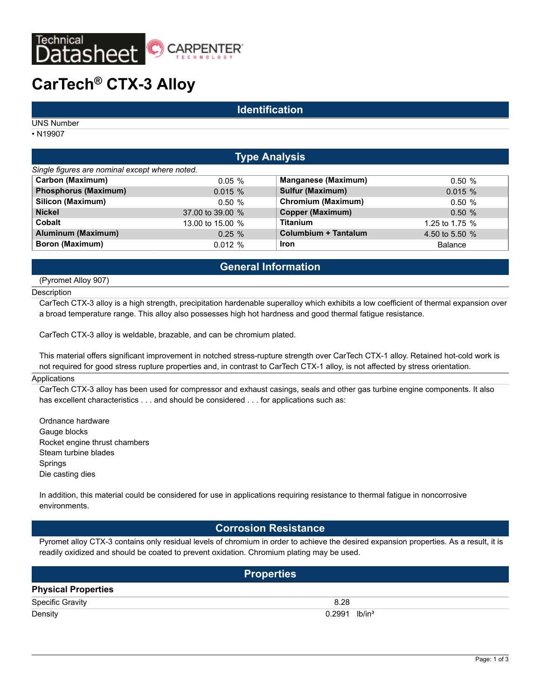

# **CarTech® CTX-3 Alloy**

### **Identification**

UNS Number

• N19907

| <b>Type Analysis</b>                           |                            |                |  |  |  |
|------------------------------------------------|----------------------------|----------------|--|--|--|
| Single figures are nominal except where noted. |                            |                |  |  |  |
| $0.05\%$                                       | <b>Manganese (Maximum)</b> | 0.50%          |  |  |  |
| $0.015 \%$                                     | Sulfur (Maximum)           | $0.015 \%$     |  |  |  |
| 0.50%                                          | <b>Chromium (Maximum)</b>  | 0.50%          |  |  |  |
| 37.00 to 39.00 %                               | <b>Copper (Maximum)</b>    | 0.50%          |  |  |  |
| 13.00 to 15.00 %                               | <b>Titanium</b>            | 1.25 to 1.75 % |  |  |  |
| $0.25 \%$                                      | Columbium + Tantalum       | 4.50 to 5.50 % |  |  |  |
| 0.012%                                         | <b>Iron</b>                | <b>Balance</b> |  |  |  |
|                                                |                            |                |  |  |  |

# **General Information**

(Pyromet Alloy 907)

**Description** 

CarTech CTX-3 alloy is a high strength, precipitation hardenable superalloy which exhibits a low coefficient of thermal expansion over a broad temperature range. This alloy also possesses high hot hardness and good thermal fatigue resistance.

CarTech CTX-3 alloy is weldable, brazable, and can be chromium plated.

This material offers significant improvement in notched stress-rupture strength over CarTech CTX-1 alloy. Retained hot-cold work is not required for good stress rupture properties and, in contrast to CarTech CTX-1 alloy, is not affected by stress orientation.

### **Applications**

CarTech CTX-3 alloy has been used for compressor and exhaust casings, seals and other gas turbine engine components. It also has excellent characteristics . . . and should be considered . . . for applications such as:

Ordnance hardware Gauge blocks Rocket engine thrust chambers Steam turbine blades Springs Die casting dies

In addition, this material could be considered for use in applications requiring resistance to thermal fatigue in noncorrosive environments.

### **Corrosion Resistance**

Pyromet alloy CTX-3 contains only residual levels of chromium in order to achieve the desired expansion properties. As a result, it is readily oxidized and should be coated to prevent oxidation. Chromium plating may be used.

| <b>Properties</b>          |                             |  |  |  |  |
|----------------------------|-----------------------------|--|--|--|--|
| <b>Physical Properties</b> |                             |  |  |  |  |
| Specific Gravity           | 8.28                        |  |  |  |  |
| Density                    | $0.2991$ lb/in <sup>3</sup> |  |  |  |  |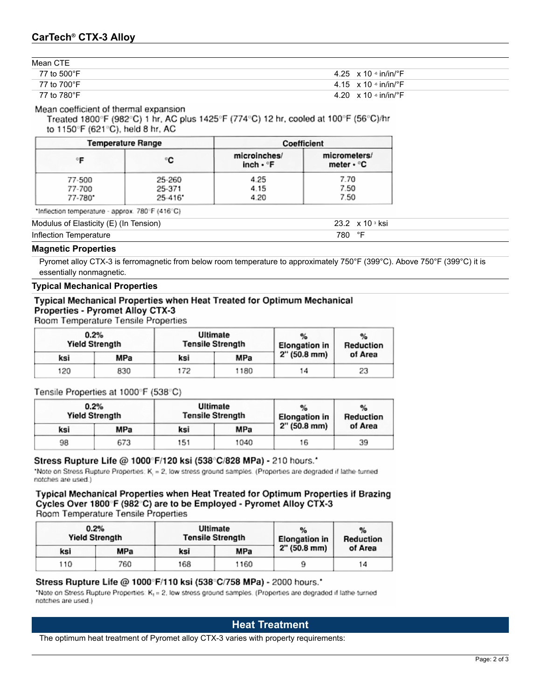Mean CTE

| IIIVUII VIL |                                           |
|-------------|-------------------------------------------|
| 77 to 500°F | 4.25 $\times$ 10 $\cdot$ in/in/ $\cdot$ F |
| 77 to 700°F | 4.15 $\times$ 10 $\cdot$ in/in/ $\cdot$ F |
| 77 to 780°F | 4.20 $\times$ 10 $\cdot$ in/in/ $\cdot$ F |

Mean coefficient of thermal expansion

Treated 1800°F (982°C) 1 hr, AC plus 1425°F (774°C) 12 hr, cooled at 100°F (56°C)/hr to 1150°F (621°C), held 8 hr, AC

| <b>Temperature Range</b> |             | Coefficient                           |                                  |  |
|--------------------------|-------------|---------------------------------------|----------------------------------|--|
|                          | C           | microinches/<br>inch · <sub>e</sub> F | micrometers/<br>meter $\cdot$ °C |  |
| 77-500                   | 25-260      | 4.25                                  | 7.70                             |  |
| 77-700                   | 25-371      | 4.15                                  | 7.50                             |  |
| 77-780*                  | $25 - 416'$ | 4.20                                  | 7.50                             |  |

\*Inflection temperature - approx. 780°F (416°C)

Modulus of Elasticity (E) (In Tension) 23.2 x 10 s ksi

Inflection Temperature 780 °F

### **Magnetic Properties**

Pyromet alloy CTX-3 is ferromagnetic from below room temperature to approximately 750°F (399°C). Above 750°F (399°C) it is essentially nonmagnetic.

### **Typical Mechanical Properties**

### Typical Mechanical Properties when Heat Treated for Optimum Mechanical Properties - Pyromet Alloy CTX-3

Room Temperature Tensile Properties

|     | 0.2%<br><b>Yield Strength</b> |     | Ultimate<br><b>Tensile Strength</b> |                | $\%$<br>Reduction |
|-----|-------------------------------|-----|-------------------------------------|----------------|-------------------|
| ksi | MPa                           | ksi | MPa                                 | $2''(50.8$ mm) | of Area           |
| 120 | 830                           | 172 | 1180                                | 14             | 23                |

Tensile Properties at 1000°F (538°C)

|     | 0.2%<br><b>Yield Strength</b> |     | Ultimate<br><b>Tensile Strength</b> |                | Reduction |
|-----|-------------------------------|-----|-------------------------------------|----------------|-----------|
| ksi | MPa                           | ksi | MPa                                 | $2''(50.8$ mm) | of Area   |
| 98  | 673                           | 151 | 1040                                | 16             | 39        |

### Stress Rupture Life @ 1000°F/120 ksi (538°C/828 MPa) - 210 hours.'

"Note on Stress Rupture Properties: K, = 2, low stress ground samples. (Properties are degraded if lathe-turned notches are used.)

Typical Mechanical Properties when Heat Treated for Optimum Properties if Brazing Cycles Over 1800°F (982°C) are to be Employed - Pyromet Alloy CTX-3 Room Temperature Tensile Properties

|     | 0.2%<br><b>Yield Strength</b> |     | Ultimate<br><b>Tensile Strength</b> |                        | Reduction |
|-----|-------------------------------|-----|-------------------------------------|------------------------|-----------|
| ksi | MPa                           | ksi | MPa                                 | $2''(50.8 \text{ mm})$ | of Area   |
| 110 | 760                           | 168 | 1160                                |                        | 14        |

### Stress Rupture Life @ 1000°F/110 ksi (538°C/758 MPa) - 2000 hours.'

"Note on Stress Rupture Properties: K<sub>t</sub> = 2, low stress ground samples. (Properties are degraded if lathe-turned notches are used.)

# **Heat Treatment**

The optimum heat treatment of Pyromet alloy CTX-3 varies with property requirements: